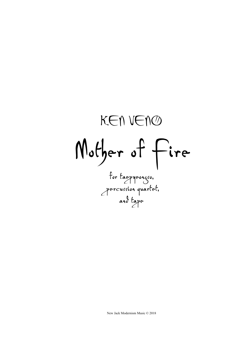KEN UENO Mother of Fire for taepyeongso, percussion quartet, and tape

New Jack Modernism Music © 2018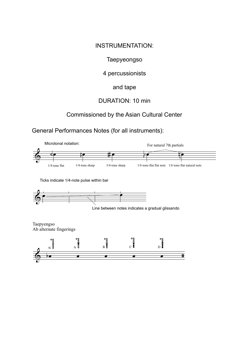### INSTRUMENTATION:

### Taepyeongso

4 percussionists

## and tape

## DURATION: 10 min

# Commissioned by the Asian Cultural Center

General Performances Notes (for all instruments):